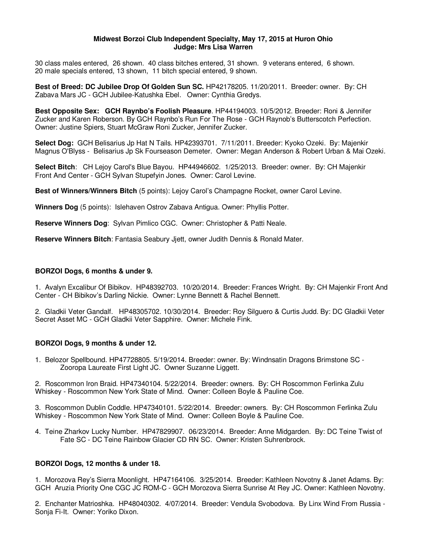#### **Midwest Borzoi Club Independent Specialty, May 17, 2015 at Huron Ohio Judge: Mrs Lisa Warren**

30 class males entered, 26 shown. 40 class bitches entered, 31 shown. 9 veterans entered, 6 shown. 20 male specials entered, 13 shown, 11 bitch special entered, 9 shown.

**Best of Breed: DC Jubilee Drop Of Golden Sun SC.** HP42178205. 11/20/2011. Breeder: owner. By: CH Zabava Mars JC - GCH Jubilee-Katushka Ebel. Owner: Cynthia Gredys.

**Best Opposite Sex: GCH Raynbo's Foolish Pleasure**. HP44194003. 10/5/2012. Breeder: Roni & Jennifer Zucker and Karen Roberson. By GCH Raynbo's Run For The Rose - GCH Raynob's Butterscotch Perfection. Owner: Justine Spiers, Stuart McGraw Roni Zucker, Jennifer Zucker.

**Select Dog:** GCH Belisarius Jp Hat N Tails. HP42393701. 7/11/2011. Breeder: Kyoko Ozeki. By: Majenkir Magnus O'Blyss - Belisarius Jp Sk Fourseason Demeter. Owner: Megan Anderson & Robert Urban & Mai Ozeki.

**Select Bitch**: CH Lejoy Carol's Blue Bayou. HP44946602. 1/25/2013. Breeder: owner. By: CH Majenkir Front And Center - GCH Sylvan Stupefyin Jones. Owner: Carol Levine.

**Best of Winners/Winners Bitch** (5 points): Lejoy Carol's Champagne Rocket, owner Carol Levine.

**Winners Dog** (5 points): Islehaven Ostrov Zabava Antigua. Owner: Phyllis Potter.

**Reserve Winners Dog**: Sylvan Pimlico CGC. Owner: Christopher & Patti Neale.

**Reserve Winners Bitch**: Fantasia Seabury Jjett, owner Judith Dennis & Ronald Mater.

#### **BORZOI Dogs, 6 months & under 9.**

1. Avalyn Excalibur Of Bibikov. HP48392703. 10/20/2014. Breeder: Frances Wright. By: CH Majenkir Front And Center - CH Bibikov's Darling Nickie. Owner: Lynne Bennett & Rachel Bennett.

2. Gladkii Veter Gandalf. HP48305702. 10/30/2014. Breeder: Roy Silguero & Curtis Judd. By: DC Gladkii Veter Secret Asset MC - GCH Gladkii Veter Sapphire. Owner: Michele Fink.

### **BORZOI Dogs, 9 months & under 12.**

1. Belozor Spellbound. HP47728805. 5/19/2014. Breeder: owner. By: Windnsatin Dragons Brimstone SC - Zooropa Laureate First Light JC. Owner Suzanne Liggett.

2. Roscommon Iron Braid. HP47340104. 5/22/2014. Breeder: owners. By: CH Roscommon Ferlinka Zulu Whiskey - Roscommon New York State of Mind. Owner: Colleen Boyle & Pauline Coe.

3. Roscommon Dublin Coddle. HP47340101. 5/22/2014. Breeder: owners. By: CH Roscommon Ferlinka Zulu Whiskey - Roscommon New York State of Mind. Owner: Colleen Boyle & Pauline Coe.

4. Teine Zharkov Lucky Number. HP47829907. 06/23/2014. Breeder: Anne Midgarden. By: DC Teine Twist of Fate SC - DC Teine Rainbow Glacier CD RN SC. Owner: Kristen Suhrenbrock.

### **BORZOI Dogs, 12 months & under 18.**

1. Morozova Rey's Sierra Moonlight. HP47164106. 3/25/2014. Breeder: Kathleen Novotny & Janet Adams. By: GCH Aruzia Priority One CGC JC ROM-C - GCH Morozova Sierra Sunrise At Rey JC. Owner: Kathleen Novotny.

2. Enchanter Matrioshka. HP48040302. 4/07/2014. Breeder: Vendula Svobodova. By Linx Wind From Russia - Sonja Fi-It. Owner: Yoriko Dixon.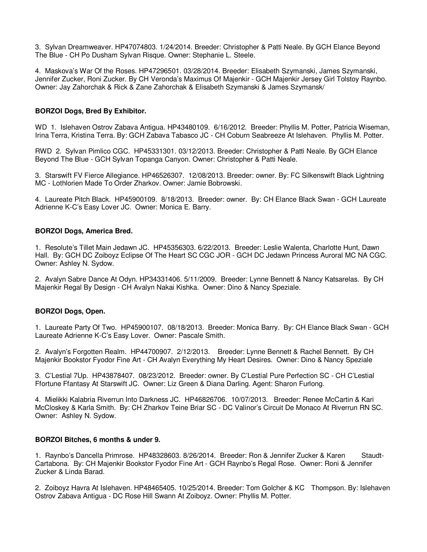3. Sylvan Dreamweaver. HP47074803. 1/24/2014. Breeder: Christopher & Patti Neale. By GCH Elance Beyond The Blue - CH Po Dusham Sylvan Risque. Owner: Stephanie L. Steele.

4. Maskova's War Of the Roses. HP47296501. 03/28/2014. Breeder: Elisabeth Szymanski, James Szymanski, Jennifer Zucker, Roni Zucker. By CH Veronda's Maximus Of Majenkir - GCH Majenkir Jersey Girl Tolstoy Raynbo. Owner: Jay Zahorchak & Rick & Zane Zahorchak & Elisabeth Szymanski & James Szymansk/

# **BORZOI Dogs, Bred By Exhibitor.**

WD 1. Islehaven Ostrov Zabava Antigua. HP43480109. 6/16/2012. Breeder: Phyllis M. Potter, Patricia Wiseman, Irina Terra, Kristina Terra. By: GCH Zabava Tabasco JC - CH Coburn Seabreeze At Islehaven. Phyllis M. Potter.

RWD 2. Sylvan Pimlico CGC. HP45331301. 03/12/2013. Breeder: Christopher & Patti Neale. By GCH Elance Beyond The Blue - GCH Sylvan Topanga Canyon. Owner: Christopher & Patti Neale.

3. Starswift FV Fierce Allegiance. HP46526307. 12/08/2013. Breeder: owner. By: FC Silkenswift Black Lightning MC - Lothlorien Made To Order Zharkov. Owner: Jamie Bobrowski.

4. Laureate Pitch Black. HP45900109. 8/18/2013. Breeder: owner. By: CH Elance Black Swan - GCH Laureate Adrienne K-C's Easy Lover JC. Owner: Monica E. Barry.

### **BORZOI Dogs, America Bred.**

1. Resolute's Tillet Main Jedawn JC. HP45356303. 6/22/2013. Breeder: Leslie Walenta, Charlotte Hunt, Dawn Hall. By: GCH DC Zoiboyz Eclipse Of The Heart SC CGC JOR - GCH DC Jedawn Princess Auroral MC NA CGC. Owner: Ashley N. Sydow.

2. Avalyn Sabre Dance At Odyn. HP34331406. 5/11/2009. Breeder: Lynne Bennett & Nancy Katsarelas. By CH Majenkir Regal By Design - CH Avalyn Nakai Kishka. Owner: Dino & Nancy Speziale.

### **BORZOI Dogs, Open.**

1. Laureate Party Of Two. HP45900107. 08/18/2013. Breeder: Monica Barry. By: CH Elance Black Swan - GCH Laureate Adrienne K-C's Easy Lover. Owner: Pascale Smith.

2. Avalyn's Forgotten Realm. HP44700907. 2/12/2013. Breeder: Lynne Bennett & Rachel Bennett. By CH Majenkir Bookstor Fyodor Fine Art - CH Avalyn Everything My Heart Desires. Owner: Dino & Nancy Speziale

3. C'Lestial 7Up. HP43878407. 08/23/2012. Breeder: owner. By C'Lestial Pure Perfection SC - CH C'Lestial Ffortune Ffantasy At Starswift JC. Owner: Liz Green & Diana Darling. Agent: Sharon Furlong.

4. Mielikki Kalabria Riverrun Into Darkness JC. HP46826706. 10/07/2013. Breeder: Renee McCartin & Kari McCloskey & Karla Smith. By: CH Zharkov Teine Briar SC - DC Valinor's Circuit De Monaco At Riverrun RN SC. Owner: Ashley N. Sydow.

### **BORZOI Bitches, 6 months & under 9.**

1. Raynbo's Dancella Primrose. HP48328603. 8/26/2014. Breeder: Ron & Jennifer Zucker & Karen Staudt-Cartabona. By: CH Majenkir Bookstor Fyodor Fine Art - GCH Raynbo's Regal Rose. Owner: Roni & Jennifer Zucker & Linda Barad.

2. Zoiboyz Havra At Islehaven. HP48465405. 10/25/2014. Breeder: Tom Golcher & KC Thompson. By: Islehaven Ostrov Zabava Antigua - DC Rose Hill Swann At Zoiboyz. Owner: Phyllis M. Potter.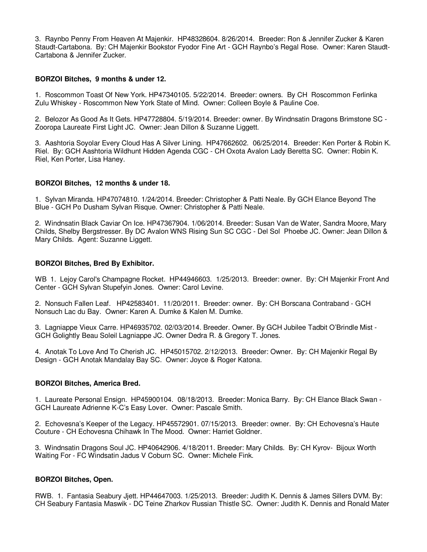3. Raynbo Penny From Heaven At Majenkir. HP48328604. 8/26/2014. Breeder: Ron & Jennifer Zucker & Karen Staudt-Cartabona. By: CH Majenkir Bookstor Fyodor Fine Art - GCH Raynbo's Regal Rose. Owner: Karen Staudt-Cartabona & Jennifer Zucker.

## **BORZOI Bitches, 9 months & under 12.**

1. Roscommon Toast Of New York. HP47340105. 5/22/2014. Breeder: owners. By CH Roscommon Ferlinka Zulu Whiskey - Roscommon New York State of Mind. Owner: Colleen Boyle & Pauline Coe.

2. Belozor As Good As It Gets. HP47728804. 5/19/2014. Breeder: owner. By Windnsatin Dragons Brimstone SC - Zooropa Laureate First Light JC. Owner: Jean Dillon & Suzanne Liggett.

3. Aashtoria Soyolar Every Cloud Has A Silver Lining. HP47662602. 06/25/2014. Breeder: Ken Porter & Robin K. Riel. By: GCH Aashtoria Wildhunt Hidden Agenda CGC - CH Oxota Avalon Lady Beretta SC. Owner: Robin K. Riel, Ken Porter, Lisa Haney.

### **BORZOI Bitches, 12 months & under 18.**

1. Sylvan Miranda. HP47074810. 1/24/2014. Breeder: Christopher & Patti Neale. By GCH Elance Beyond The Blue - GCH Po Dusham Sylvan Risque. Owner: Christopher & Patti Neale.

2. Windnsatin Black Caviar On Ice. HP47367904. 1/06/2014. Breeder: Susan Van de Water, Sandra Moore, Mary Childs, Shelby Bergstresser. By DC Avalon WNS Rising Sun SC CGC - Del Sol Phoebe JC. Owner: Jean Dillon & Mary Childs. Agent: Suzanne Liggett.

## **BORZOI Bitches, Bred By Exhibitor.**

WB 1. Lejoy Carol's Champagne Rocket. HP44946603. 1/25/2013. Breeder: owner. By: CH Majenkir Front And Center - GCH Sylvan Stupefyin Jones. Owner: Carol Levine.

2. Nonsuch Fallen Leaf. HP42583401. 11/20/2011. Breeder: owner. By: CH Borscana Contraband - GCH Nonsuch Lac du Bay. Owner: Karen A. Dumke & Kalen M. Dumke.

3. Lagniappe Vieux Carre. HP46935702. 02/03/2014. Breeder. Owner. By GCH Jubilee Tadbit O'Brindle Mist - GCH Golightly Beau Soleil Lagniappe JC. Owner Dedra R. & Gregory T. Jones.

4. Anotak To Love And To Cherish JC. HP45015702. 2/12/2013. Breeder: Owner. By: CH Majenkir Regal By Design - GCH Anotak Mandalay Bay SC. Owner: Joyce & Roger Katona.

### **BORZOI Bitches, America Bred.**

1. Laureate Personal Ensign. HP45900104. 08/18/2013. Breeder: Monica Barry. By: CH Elance Black Swan - GCH Laureate Adrienne K-C's Easy Lover. Owner: Pascale Smith.

2. Echovesna's Keeper of the Legacy. HP45572901. 07/15/2013. Breeder: owner. By: CH Echovesna's Haute Couture - CH Echovesna Chihawk In The Mood. Owner: Harriet Goldner.

3. Windnsatin Dragons Soul JC. HP40642906. 4/18/2011. Breeder: Mary Childs. By: CH Kyrov- Bijoux Worth Waiting For - FC Windsatin Jadus V Coburn SC. Owner: Michele Fink.

### **BORZOI Bitches, Open.**

RWB. 1. Fantasia Seabury Jjett. HP44647003. 1/25/2013. Breeder: Judith K. Dennis & James Sillers DVM. By: CH Seabury Fantasia Maswik - DC Teine Zharkov Russian Thistle SC. Owner: Judith K. Dennis and Ronald Mater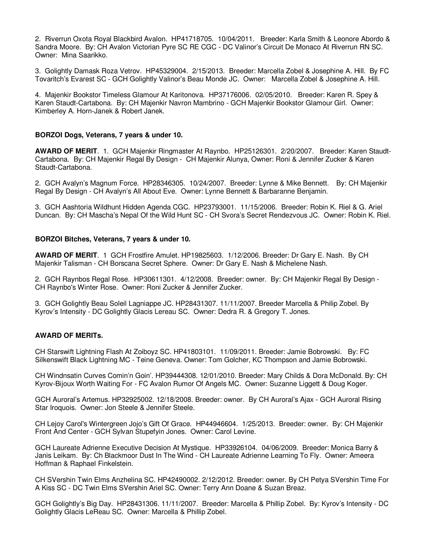2. Riverrun Oxota Royal Blackbird Avalon. HP41718705. 10/04/2011. Breeder: Karla Smith & Leonore Abordo & Sandra Moore. By: CH Avalon Victorian Pyre SC RE CGC - DC Valinor's Circuit De Monaco At Riverrun RN SC. Owner: Mina Saarikko.

3. Golightly Damask Roza Vetrov. HP45329004. 2/15/2013. Breeder: Marcella Zobel & Josephine A. Hill. By FC Tovaritch's Evarest SC - GCH Golightly Valinor's Beau Monde JC. Owner: Marcella Zobel & Josephine A. Hill.

4. Majenkir Bookstor Timeless Glamour At Karitonova. HP37176006. 02/05/2010. Breeder: Karen R. Spey & Karen Staudt-Cartabona. By: CH Majenkir Navron Mambrino - GCH Majenkir Bookstor Glamour Girl. Owner: Kimberley A. Horn-Janek & Robert Janek.

### **BORZOI Dogs, Veterans, 7 years & under 10.**

**AWARD OF MERIT**. 1. GCH Majenkir Ringmaster At Raynbo. HP25126301. 2/20/2007. Breeder: Karen Staudt-Cartabona. By: CH Majenkir Regal By Design - CH Majenkir Alunya, Owner: Roni & Jennifer Zucker & Karen Staudt-Cartabona.

2. GCH Avalyn's Magnum Force. HP28346305. 10/24/2007. Breeder: Lynne & Mike Bennett. By: CH Majenkir Regal By Design - CH Avalyn's All About Eve. Owner: Lynne Bennett & Barbaranne Benjamin.

3. GCH Aashtoria Wildhunt Hidden Agenda CGC. HP23793001. 11/15/2006. Breeder: Robin K. Riel & G. Ariel Duncan. By: CH Mascha's Nepal Of the Wild Hunt SC - CH Svora's Secret Rendezvous JC. Owner: Robin K. Riel.

## **BORZOI Bitches, Veterans, 7 years & under 10.**

**AWARD OF MERIT**. 1 GCH Frostfire Amulet. HP19825603. 1/12/2006. Breeder: Dr Gary E. Nash. By CH Majenkir Talisman - CH Borscana Secret Sphere. Owner: Dr Gary E. Nash & Michelene Nash.

2. GCH Raynbos Regal Rose. HP30611301. 4/12/2008. Breeder: owner. By: CH Majenkir Regal By Design - CH Raynbo's Winter Rose. Owner: Roni Zucker & Jennifer Zucker.

3. GCH Golightly Beau Soleil Lagniappe JC. HP28431307. 11/11/2007. Breeder Marcella & Philip Zobel. By Kyrov's Intensity - DC Golightly Glacis Lereau SC. Owner: Dedra R. & Gregory T. Jones.

### **AWARD OF MERITs.**

CH Starswift Lightning Flash At Zoiboyz SC. HP41803101. 11/09/2011. Breeder: Jamie Bobrowski. By: FC Silkenswift Black Lightning MC - Teine Geneva. Owner: Tom Golcher, KC Thompson and Jamie Bobrowski.

CH Windnsatin Curves Comin'n Goin'. HP39444308. 12/01/2010. Breeder: Mary Childs & Dora McDonald. By: CH Kyrov-Bijoux Worth Waiting For - FC Avalon Rumor Of Angels MC. Owner: Suzanne Liggett & Doug Koger.

GCH Auroral's Artemus. HP32925002. 12/18/2008. Breeder: owner. By CH Auroral's Ajax - GCH Auroral Rising Star Iroquois. Owner: Jon Steele & Jennifer Steele.

CH Lejoy Carol's Wintergreen Jojo's Gift Of Grace. HP44946604. 1/25/2013. Breeder: owner. By: CH Majenkir Front And Center - GCH Sylvan Stupefyin Jones. Owner: Carol Levine.

GCH Laureate Adrienne Executive Decision At Mystique. HP33926104. 04/06/2009. Breeder: Monica Barry & Janis Leikam. By: Ch Blackmoor Dust In The Wind - CH Laureate Adrienne Learning To Fly. Owner: Ameera Hoffman & Raphael Finkelstein.

CH SVershin Twin Elms Anzhelina SC. HP42490002. 2/12/2012. Breeder: owner. By CH Petya SVershin Time For A Kiss SC - DC Twin Elms SVershin Ariel SC. Owner: Terry Ann Doane & Suzan Breaz.

GCH Golightly's Big Day. HP28431306. 11/11/2007. Breeder: Marcella & Phillip Zobel. By: Kyrov's Intensity - DC Golightly Glacis LeReau SC. Owner: Marcella & Phillip Zobel.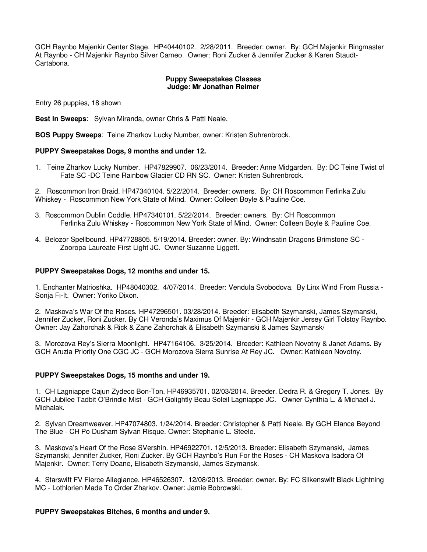GCH Raynbo Majenkir Center Stage. HP40440102. 2/28/2011. Breeder: owner. By: GCH Majenkir Ringmaster At Raynbo - CH Majenkir Raynbo Silver Cameo. Owner: Roni Zucker & Jennifer Zucker & Karen Staudt-Cartabona.

### **Puppy Sweepstakes Classes Judge: Mr Jonathan Reimer**

Entry 26 puppies, 18 shown

**Best In Sweeps**: Sylvan Miranda, owner Chris & Patti Neale.

**BOS Puppy Sweeps**: Teine Zharkov Lucky Number, owner: Kristen Suhrenbrock.

## **PUPPY Sweepstakes Dogs, 9 months and under 12.**

1. Teine Zharkov Lucky Number. HP47829907. 06/23/2014. Breeder: Anne Midgarden. By: DC Teine Twist of Fate SC -DC Teine Rainbow Glacier CD RN SC. Owner: Kristen Suhrenbrock.

2. Roscommon Iron Braid. HP47340104. 5/22/2014. Breeder: owners. By: CH Roscommon Ferlinka Zulu Whiskey - Roscommon New York State of Mind. Owner: Colleen Boyle & Pauline Coe.

- 3. Roscommon Dublin Coddle. HP47340101. 5/22/2014. Breeder: owners. By: CH Roscommon Ferlinka Zulu Whiskey - Roscommon New York State of Mind. Owner: Colleen Boyle & Pauline Coe.
- 4. Belozor Spellbound. HP47728805. 5/19/2014. Breeder: owner. By: Windnsatin Dragons Brimstone SC Zooropa Laureate First Light JC. Owner Suzanne Liggett.

#### **PUPPY Sweepstakes Dogs, 12 months and under 15.**

1. Enchanter Matrioshka. HP48040302. 4/07/2014. Breeder: Vendula Svobodova. By Linx Wind From Russia - Sonja Fi-It. Owner: Yoriko Dixon.

2. Maskova's War Of the Roses. HP47296501. 03/28/2014. Breeder: Elisabeth Szymanski, James Szymanski, Jennifer Zucker, Roni Zucker. By CH Veronda's Maximus Of Majenkir - GCH Majenkir Jersey Girl Tolstoy Raynbo. Owner: Jay Zahorchak & Rick & Zane Zahorchak & Elisabeth Szymanski & James Szymansk/

3. Morozova Rey's Sierra Moonlight. HP47164106. 3/25/2014. Breeder: Kathleen Novotny & Janet Adams. By GCH Aruzia Priority One CGC JC - GCH Morozova Sierra Sunrise At Rey JC. Owner: Kathleen Novotny.

### **PUPPY Sweepstakes Dogs, 15 months and under 19.**

1. CH Lagniappe Cajun Zydeco Bon-Ton. HP46935701. 02/03/2014. Breeder. Dedra R. & Gregory T. Jones. By GCH Jubilee Tadbit O'Brindle Mist - GCH Golightly Beau Soleil Lagniappe JC. Owner Cynthia L. & Michael J. Michalak.

2. Sylvan Dreamweaver. HP47074803. 1/24/2014. Breeder: Christopher & Patti Neale. By GCH Elance Beyond The Blue - CH Po Dusham Sylvan Risque. Owner: Stephanie L. Steele.

3. Maskova's Heart Of the Rose SVershin. HP46922701. 12/5/2013. Breeder: Elisabeth Szymanski, James Szymanski, Jennifer Zucker, Roni Zucker. By GCH Raynbo's Run For the Roses - CH Maskova Isadora Of Majenkir. Owner: Terry Doane, Elisabeth Szymanski, James Szymansk.

4. Starswift FV Fierce Allegiance. HP46526307. 12/08/2013. Breeder: owner. By: FC Silkenswift Black Lightning MC - Lothlorien Made To Order Zharkov. Owner: Jamie Bobrowski.

### **PUPPY Sweepstakes Bitches, 6 months and under 9.**